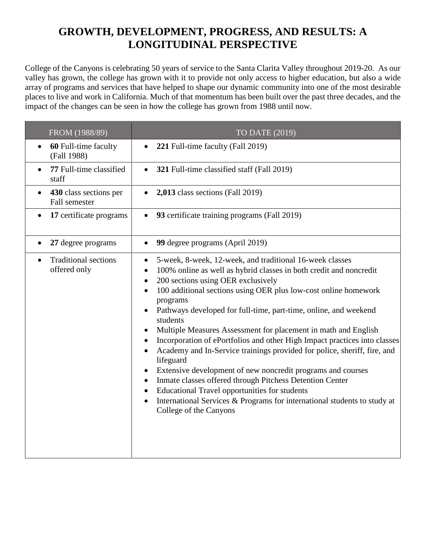## **GROWTH, DEVELOPMENT, PROGRESS, AND RESULTS: A LONGITUDINAL PERSPECTIVE**

College of the Canyons is celebrating 50 years of service to the Santa Clarita Valley throughout 2019-20. As our valley has grown, the college has grown with it to provide not only access to higher education, but also a wide array of programs and services that have helped to shape our dynamic community into one of the most desirable places to live and work in California. Much of that momentum has been built over the past three decades, and the impact of the changes can be seen in how the college has grown from 1988 until now.

| FROM (1988/89)                              | TO DATE (2019)                                                                                                                                                                                                                                                                                                                                                                                                                                                                                                                                                                                                                                                                                                                                                                                                                                                                                                                |
|---------------------------------------------|-------------------------------------------------------------------------------------------------------------------------------------------------------------------------------------------------------------------------------------------------------------------------------------------------------------------------------------------------------------------------------------------------------------------------------------------------------------------------------------------------------------------------------------------------------------------------------------------------------------------------------------------------------------------------------------------------------------------------------------------------------------------------------------------------------------------------------------------------------------------------------------------------------------------------------|
| 60 Full-time faculty<br>(Fall 1988)         | 221 Full-time faculty (Fall 2019)                                                                                                                                                                                                                                                                                                                                                                                                                                                                                                                                                                                                                                                                                                                                                                                                                                                                                             |
| 77 Full-time classified<br>staff            | 321 Full-time classified staff (Fall 2019)                                                                                                                                                                                                                                                                                                                                                                                                                                                                                                                                                                                                                                                                                                                                                                                                                                                                                    |
| 430 class sections per<br>Fall semester     | 2,013 class sections (Fall 2019)                                                                                                                                                                                                                                                                                                                                                                                                                                                                                                                                                                                                                                                                                                                                                                                                                                                                                              |
| 17 certificate programs                     | 93 certificate training programs (Fall 2019)                                                                                                                                                                                                                                                                                                                                                                                                                                                                                                                                                                                                                                                                                                                                                                                                                                                                                  |
| 27 degree programs                          | 99 degree programs (April 2019)                                                                                                                                                                                                                                                                                                                                                                                                                                                                                                                                                                                                                                                                                                                                                                                                                                                                                               |
| <b>Traditional sections</b><br>offered only | 5-week, 8-week, 12-week, and traditional 16-week classes<br>$\bullet$<br>100% online as well as hybrid classes in both credit and noncredit<br>$\bullet$<br>200 sections using OER exclusively<br>100 additional sections using OER plus low-cost online homework<br>programs<br>Pathways developed for full-time, part-time, online, and weekend<br>students<br>Multiple Measures Assessment for placement in math and English<br>Incorporation of ePortfolios and other High Impact practices into classes<br>Academy and In-Service trainings provided for police, sheriff, fire, and<br>lifeguard<br>Extensive development of new noncredit programs and courses<br>Inmate classes offered through Pitchess Detention Center<br>٠<br><b>Educational Travel opportunities for students</b><br>$\bullet$<br>International Services & Programs for international students to study at<br>$\bullet$<br>College of the Canyons |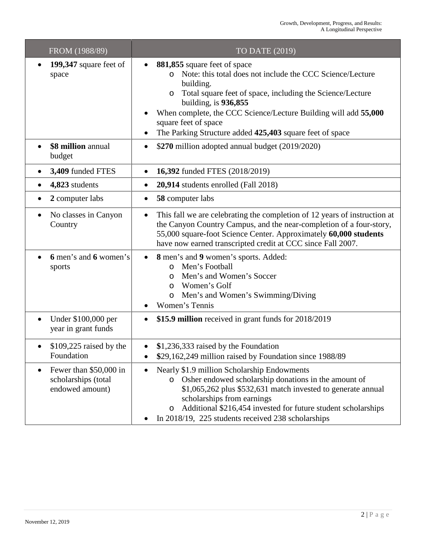| FROM (1988/89)                                                                | TO DATE (2019)                                                                                                                                                                                                                                                                                                                                                              |
|-------------------------------------------------------------------------------|-----------------------------------------------------------------------------------------------------------------------------------------------------------------------------------------------------------------------------------------------------------------------------------------------------------------------------------------------------------------------------|
| 199,347 square feet of<br>$\bullet$<br>space                                  | 881,855 square feet of space<br>Note: this total does not include the CCC Science/Lecture<br>$\Omega$<br>building.<br>Total square feet of space, including the Science/Lecture<br>$\circ$<br>building, is $936,855$<br>When complete, the CCC Science/Lecture Building will add 55,000<br>square feet of space<br>The Parking Structure added 425,403 square feet of space |
| \$8 million annual<br>budget                                                  | \$270 million adopted annual budget (2019/2020)<br>$\bullet$                                                                                                                                                                                                                                                                                                                |
| 3,409 funded FTES<br>$\bullet$                                                | 16,392 funded FTES (2018/2019)<br>$\bullet$                                                                                                                                                                                                                                                                                                                                 |
| 4,823 students<br>٠                                                           | 20,914 students enrolled (Fall 2018)<br>$\bullet$                                                                                                                                                                                                                                                                                                                           |
| 2 computer labs<br>٠                                                          | 58 computer labs<br>٠                                                                                                                                                                                                                                                                                                                                                       |
| No classes in Canyon<br>$\bullet$<br>Country                                  | This fall we are celebrating the completion of 12 years of instruction at<br>$\bullet$<br>the Canyon Country Campus, and the near-completion of a four-story,<br>55,000 square-foot Science Center. Approximately 60,000 students<br>have now earned transcripted credit at CCC since Fall 2007.                                                                            |
| 6 men's and 6 women's<br>sports                                               | 8 men's and 9 women's sports. Added:<br>$\bullet$<br>Men's Football<br>$\circ$<br>Men's and Women's Soccer<br>$\circ$<br>Women's Golf<br>O<br>Men's and Women's Swimming/Diving<br>O<br>Women's Tennis                                                                                                                                                                      |
| Under \$100,000 per<br>$\bullet$<br>year in grant funds                       | \$15.9 million received in grant funds for 2018/2019                                                                                                                                                                                                                                                                                                                        |
| $$109,225$ raised by the<br>Foundation                                        | \$1,236,333 raised by the Foundation<br>\$29,162,249 million raised by Foundation since 1988/89                                                                                                                                                                                                                                                                             |
| Fewer than \$50,000 in<br>$\bullet$<br>scholarships (total<br>endowed amount) | Nearly \$1.9 million Scholarship Endowments<br>o Osher endowed scholarship donations in the amount of<br>\$1,065,262 plus \$532,631 match invested to generate annual<br>scholarships from earnings<br>Additional \$216,454 invested for future student scholarships<br>$\circ$<br>In 2018/19, 225 students received 238 scholarships                                       |

٠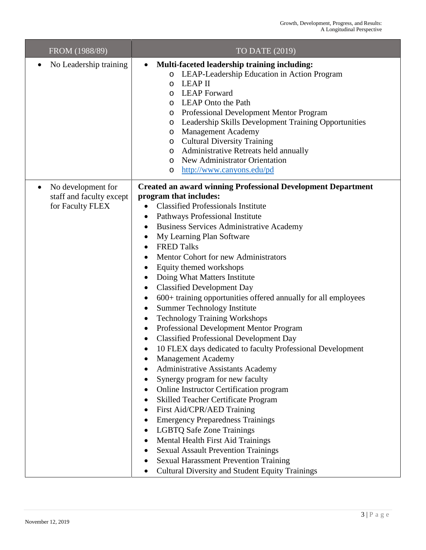| FROM (1988/89)                                                                  | TO DATE (2019)                                                                                                                                                                                                                                                                                                                                                                                                                                                                                                                                                                                                                                                                                                                                                                                                                                                                                                                                                                                                                                                                                                                                                                                                                                                                                                                                                                            |
|---------------------------------------------------------------------------------|-------------------------------------------------------------------------------------------------------------------------------------------------------------------------------------------------------------------------------------------------------------------------------------------------------------------------------------------------------------------------------------------------------------------------------------------------------------------------------------------------------------------------------------------------------------------------------------------------------------------------------------------------------------------------------------------------------------------------------------------------------------------------------------------------------------------------------------------------------------------------------------------------------------------------------------------------------------------------------------------------------------------------------------------------------------------------------------------------------------------------------------------------------------------------------------------------------------------------------------------------------------------------------------------------------------------------------------------------------------------------------------------|
| No Leadership training<br>$\bullet$                                             | Multi-faceted leadership training including:<br>$\bullet$<br>LEAP-Leadership Education in Action Program<br>$\circ$<br><b>LEAP II</b><br>O<br><b>LEAP</b> Forward<br>O<br><b>LEAP</b> Onto the Path<br>O<br>Professional Development Mentor Program<br>O<br>Leadership Skills Development Training Opportunities<br>O<br><b>Management Academy</b><br>O<br><b>Cultural Diversity Training</b><br>$\circ$<br><b>Administrative Retreats held annually</b><br>O<br>New Administrator Orientation<br>O<br>http://www.canyons.edu/pd<br>O                                                                                                                                                                                                                                                                                                                                                                                                                                                                                                                                                                                                                                                                                                                                                                                                                                                     |
| No development for<br>$\bullet$<br>staff and faculty except<br>for Faculty FLEX | <b>Created an award winning Professional Development Department</b><br>program that includes:<br><b>Classified Professionals Institute</b><br>$\bullet$<br>Pathways Professional Institute<br><b>Business Services Administrative Academy</b><br>٠<br>My Learning Plan Software<br>٠<br><b>FRED Talks</b><br>$\bullet$<br>Mentor Cohort for new Administrators<br>Equity themed workshops<br>$\bullet$<br>Doing What Matters Institute<br>$\bullet$<br><b>Classified Development Day</b><br>$\bullet$<br>600+ training opportunities offered annually for all employees<br>$\bullet$<br><b>Summer Technology Institute</b><br>$\bullet$<br><b>Technology Training Workshops</b><br>$\bullet$<br>Professional Development Mentor Program<br>$\bullet$<br><b>Classified Professional Development Day</b><br>$\bullet$<br>10 FLEX days dedicated to faculty Professional Development<br><b>Management Academy</b><br><b>Administrative Assistants Academy</b><br>Synergy program for new faculty<br>Online Instructor Certification program<br>Skilled Teacher Certificate Program<br>First Aid/CPR/AED Training<br><b>Emergency Preparedness Trainings</b><br><b>LGBTQ Safe Zone Trainings</b><br>Mental Health First Aid Trainings<br><b>Sexual Assault Prevention Trainings</b><br><b>Sexual Harassment Prevention Training</b><br><b>Cultural Diversity and Student Equity Trainings</b> |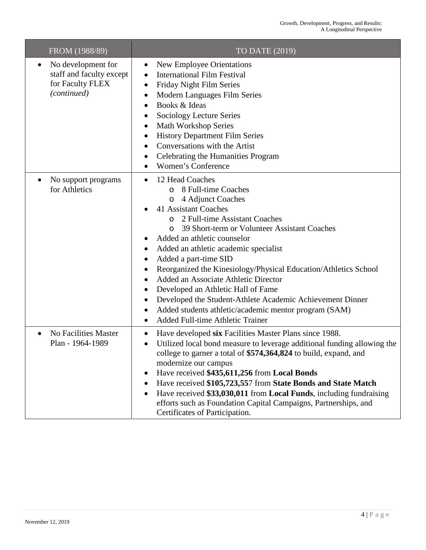**Contract Contract** 

| FROM (1988/89)                                                                                 | TO DATE (2019)                                                                                                                                                                                                                                                                                                                                                                                                                                                                                                                                                                                                                                      |
|------------------------------------------------------------------------------------------------|-----------------------------------------------------------------------------------------------------------------------------------------------------------------------------------------------------------------------------------------------------------------------------------------------------------------------------------------------------------------------------------------------------------------------------------------------------------------------------------------------------------------------------------------------------------------------------------------------------------------------------------------------------|
| No development for<br>$\bullet$<br>staff and faculty except<br>for Faculty FLEX<br>(continued) | <b>New Employee Orientations</b><br>$\bullet$<br><b>International Film Festival</b><br>Friday Night Film Series<br>٠<br>Modern Languages Film Series<br>٠<br>Books & Ideas<br>$\bullet$<br>Sociology Lecture Series<br><b>Math Workshop Series</b><br>$\bullet$<br><b>History Department Film Series</b><br>Conversations with the Artist<br>Celebrating the Humanities Program<br>٠<br>Women's Conference                                                                                                                                                                                                                                          |
| No support programs<br>٠<br>for Athletics                                                      | 12 Head Coaches<br>$\bullet$<br>o 8 Full-time Coaches<br>4 Adjunct Coaches<br>$\circ$<br>41 Assistant Coaches<br>2 Full-time Assistant Coaches<br>$\Omega$<br>39 Short-term or Volunteer Assistant Coaches<br>$\Omega$<br>Added an athletic counselor<br>Added an athletic academic specialist<br>Added a part-time SID<br>٠<br>Reorganized the Kinesiology/Physical Education/Athletics School<br>Added an Associate Athletic Director<br>Developed an Athletic Hall of Fame<br>٠<br>Developed the Student-Athlete Academic Achievement Dinner<br>Added students athletic/academic mentor program (SAM)<br><b>Added Full-time Athletic Trainer</b> |
| No Facilities Master<br>$\bullet$<br>Plan - 1964-1989                                          | Have developed six Facilities Master Plans since 1988.<br>$\bullet$<br>Utilized local bond measure to leverage additional funding allowing the<br>college to garner a total of \$574,364,824 to build, expand, and<br>modernize our campus<br>Have received \$435,611,256 from Local Bonds<br>Have received \$105,723,557 from State Bonds and State Match<br>Have received \$33,030,011 from Local Funds, including fundraising<br>efforts such as Foundation Capital Campaigns, Partnerships, and<br>Certificates of Participation.                                                                                                               |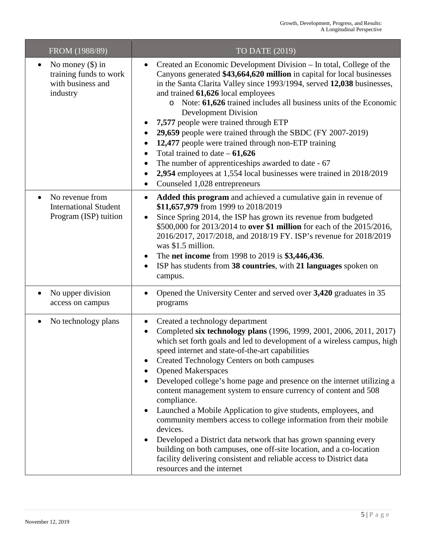| FROM (1988/89)                                                                             | TO DATE (2019)                                                                                                                                                                                                                                                                                                                                                                                                                                                                                                                                                                                                                                                                                                                                                                                                                                                                       |
|--------------------------------------------------------------------------------------------|--------------------------------------------------------------------------------------------------------------------------------------------------------------------------------------------------------------------------------------------------------------------------------------------------------------------------------------------------------------------------------------------------------------------------------------------------------------------------------------------------------------------------------------------------------------------------------------------------------------------------------------------------------------------------------------------------------------------------------------------------------------------------------------------------------------------------------------------------------------------------------------|
| No money $(\$)$ in<br>$\bullet$<br>training funds to work<br>with business and<br>industry | Created an Economic Development Division – In total, College of the<br>$\bullet$<br>Canyons generated \$43,664,620 million in capital for local businesses<br>in the Santa Clarita Valley since 1993/1994, served 12,038 businesses,<br>and trained 61,626 local employees<br>o Note: 61,626 trained includes all business units of the Economic<br><b>Development Division</b><br>7,577 people were trained through ETP<br>29,659 people were trained through the SBDC (FY 2007-2019)<br>12,477 people were trained through non-ETP training<br>Total trained to date $-61,626$<br>The number of apprenticeships awarded to date - 67<br>2,954 employees at 1,554 local businesses were trained in 2018/2019<br>Counseled 1,028 entrepreneurs                                                                                                                                       |
| No revenue from<br>$\bullet$<br><b>International Student</b><br>Program (ISP) tuition      | Added this program and achieved a cumulative gain in revenue of<br>$\bullet$<br>\$11,657,979 from 1999 to 2018/2019<br>Since Spring 2014, the ISP has grown its revenue from budgeted<br>\$500,000 for 2013/2014 to over \$1 million for each of the 2015/2016,<br>2016/2017, 2017/2018, and 2018/19 FY. ISP's revenue for 2018/2019<br>was \$1.5 million.<br>The <b>net income</b> from 1998 to 2019 is \$3,446,436.<br>$\bullet$<br>ISP has students from 38 countries, with 21 languages spoken on<br>campus.                                                                                                                                                                                                                                                                                                                                                                     |
| No upper division<br>$\bullet$<br>access on campus                                         | Opened the University Center and served over 3,420 graduates in 35<br>programs                                                                                                                                                                                                                                                                                                                                                                                                                                                                                                                                                                                                                                                                                                                                                                                                       |
| No technology plans<br>٠                                                                   | Created a technology department<br>٠<br>Completed six technology plans (1996, 1999, 2001, 2006, 2011, 2017)<br>which set forth goals and led to development of a wireless campus, high<br>speed internet and state-of-the-art capabilities<br>Created Technology Centers on both campuses<br><b>Opened Makerspaces</b><br>Developed college's home page and presence on the internet utilizing a<br>content management system to ensure currency of content and 508<br>compliance.<br>Launched a Mobile Application to give students, employees, and<br>community members access to college information from their mobile<br>devices.<br>Developed a District data network that has grown spanning every<br>building on both campuses, one off-site location, and a co-location<br>facility delivering consistent and reliable access to District data<br>resources and the internet |

▅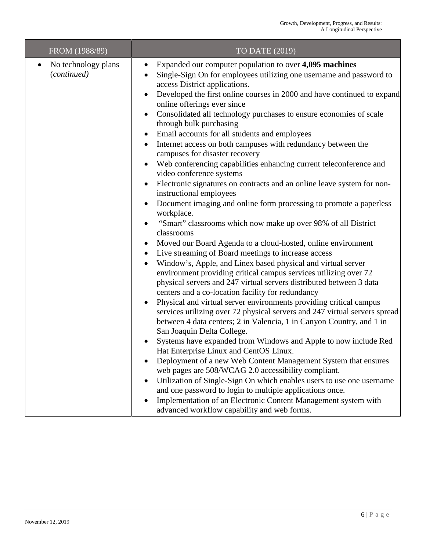| FROM (1988/89)                     | TO DATE (2019)                                                                                                                                                                                                                                                                                                                                                                                                                                                                                                                                                                                                                                                                                                                                                                                                                                                                                                                                                                                                                                                                                                                                                                                                                                                                                                                                                                                                                                                                                                                                                                                                                                                                                                                                                                                                                                                                                                                                                                                                                                   |
|------------------------------------|--------------------------------------------------------------------------------------------------------------------------------------------------------------------------------------------------------------------------------------------------------------------------------------------------------------------------------------------------------------------------------------------------------------------------------------------------------------------------------------------------------------------------------------------------------------------------------------------------------------------------------------------------------------------------------------------------------------------------------------------------------------------------------------------------------------------------------------------------------------------------------------------------------------------------------------------------------------------------------------------------------------------------------------------------------------------------------------------------------------------------------------------------------------------------------------------------------------------------------------------------------------------------------------------------------------------------------------------------------------------------------------------------------------------------------------------------------------------------------------------------------------------------------------------------------------------------------------------------------------------------------------------------------------------------------------------------------------------------------------------------------------------------------------------------------------------------------------------------------------------------------------------------------------------------------------------------------------------------------------------------------------------------------------------------|
| No technology plans<br>(continued) | Expanded our computer population to over 4,095 machines<br>$\bullet$<br>Single-Sign On for employees utilizing one username and password to<br>access District applications.<br>Developed the first online courses in 2000 and have continued to expand<br>$\bullet$<br>online offerings ever since<br>Consolidated all technology purchases to ensure economies of scale<br>$\bullet$<br>through bulk purchasing<br>Email accounts for all students and employees<br>Internet access on both campuses with redundancy between the<br>campuses for disaster recovery<br>Web conferencing capabilities enhancing current teleconference and<br>$\bullet$<br>video conference systems<br>Electronic signatures on contracts and an online leave system for non-<br>instructional employees<br>Document imaging and online form processing to promote a paperless<br>workplace.<br>"Smart" classrooms which now make up over 98% of all District<br>$\bullet$<br>classrooms<br>Moved our Board Agenda to a cloud-hosted, online environment<br>٠<br>Live streaming of Board meetings to increase access<br>$\bullet$<br>Window's, Apple, and Linex based physical and virtual server<br>environment providing critical campus services utilizing over 72<br>physical servers and 247 virtual servers distributed between 3 data<br>centers and a co-location facility for redundancy<br>Physical and virtual server environments providing critical campus<br>$\bullet$<br>services utilizing over 72 physical servers and 247 virtual servers spread<br>between 4 data centers; 2 in Valencia, 1 in Canyon Country, and 1 in<br>San Joaquin Delta College.<br>Systems have expanded from Windows and Apple to now include Red<br>Hat Enterprise Linux and CentOS Linux.<br>Deployment of a new Web Content Management System that ensures<br>web pages are 508/WCAG 2.0 accessibility compliant.<br>Utilization of Single-Sign On which enables users to use one username<br>$\bullet$<br>and one password to login to multiple applications once. |
|                                    | Implementation of an Electronic Content Management system with<br>advanced workflow capability and web forms.                                                                                                                                                                                                                                                                                                                                                                                                                                                                                                                                                                                                                                                                                                                                                                                                                                                                                                                                                                                                                                                                                                                                                                                                                                                                                                                                                                                                                                                                                                                                                                                                                                                                                                                                                                                                                                                                                                                                    |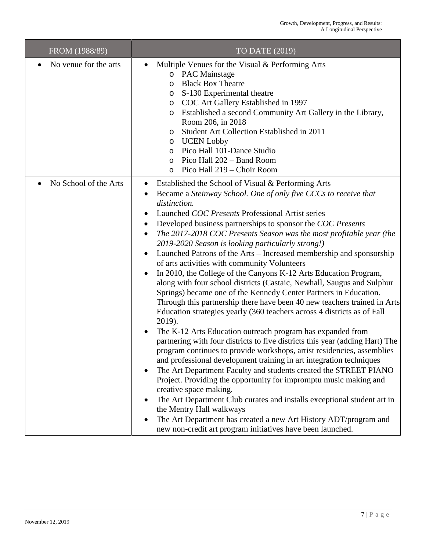| FROM (1988/89)        | TO DATE (2019)                                                                                                                                                                                                                                                                                                                                                                                                                                                                                                                                                                                                                                                                                                                                                                                                                                                                                                                                                                                                                                                                                                                                                                                                                                                                                                                                                                                                                                                                                                                                                                                                      |
|-----------------------|---------------------------------------------------------------------------------------------------------------------------------------------------------------------------------------------------------------------------------------------------------------------------------------------------------------------------------------------------------------------------------------------------------------------------------------------------------------------------------------------------------------------------------------------------------------------------------------------------------------------------------------------------------------------------------------------------------------------------------------------------------------------------------------------------------------------------------------------------------------------------------------------------------------------------------------------------------------------------------------------------------------------------------------------------------------------------------------------------------------------------------------------------------------------------------------------------------------------------------------------------------------------------------------------------------------------------------------------------------------------------------------------------------------------------------------------------------------------------------------------------------------------------------------------------------------------------------------------------------------------|
| No venue for the arts | Multiple Venues for the Visual & Performing Arts<br>$\bullet$<br>o PAC Mainstage<br><b>Black Box Theatre</b><br>O<br>S-130 Experimental theatre<br>O<br>COC Art Gallery Established in 1997<br>O<br>Established a second Community Art Gallery in the Library,<br>O<br>Room 206, in 2018<br>Student Art Collection Established in 2011<br>O<br><b>UCEN</b> Lobby<br>O<br>Pico Hall 101-Dance Studio<br>O<br>Pico Hall 202 - Band Room<br>$\circ$<br>Pico Hall 219 - Choir Room<br>O                                                                                                                                                                                                                                                                                                                                                                                                                                                                                                                                                                                                                                                                                                                                                                                                                                                                                                                                                                                                                                                                                                                                 |
| No School of the Arts | Established the School of Visual & Performing Arts<br>Became a Steinway School. One of only five CCCs to receive that<br>٠<br>distinction.<br>Launched COC Presents Professional Artist series<br>Developed business partnerships to sponsor the COC Presents<br>٠<br>The 2017-2018 COC Presents Season was the most profitable year (the<br>2019-2020 Season is looking particularly strong!)<br>Launched Patrons of the Arts - Increased membership and sponsorship<br>of arts activities with community Volunteers<br>In 2010, the College of the Canyons K-12 Arts Education Program,<br>along with four school districts (Castaic, Newhall, Saugus and Sulphur<br>Springs) became one of the Kennedy Center Partners in Education.<br>Through this partnership there have been 40 new teachers trained in Arts<br>Education strategies yearly (360 teachers across 4 districts as of Fall<br>2019).<br>The K-12 Arts Education outreach program has expanded from<br>partnering with four districts to five districts this year (adding Hart) The<br>program continues to provide workshops, artist residencies, assemblies<br>and professional development training in art integration techniques<br>The Art Department Faculty and students created the STREET PIANO<br>Project. Providing the opportunity for impromptu music making and<br>creative space making.<br>The Art Department Club curates and installs exceptional student art in<br>the Mentry Hall walkways<br>The Art Department has created a new Art History ADT/program and<br>new non-credit art program initiatives have been launched. |

г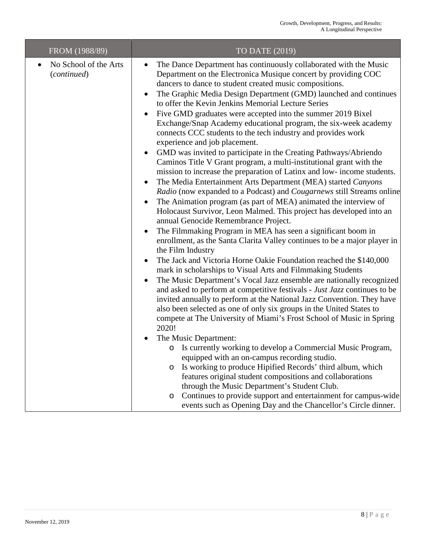| FROM (1988/89)                       | TO DATE (2019)                                                                                                                                                                                                                                                                                                                                                                                                                                                                                                                                                                                                                                                                                                                                                                                                                                                                                                                                                                                                                                                                                                                                                                                                                                                                                                                                                                                                                                                                                                                                                                                                                                                                                                                                                                                                                                                                                                                                                                                                                                                                                                                                                                                                                                                                                                                                                                         |
|--------------------------------------|----------------------------------------------------------------------------------------------------------------------------------------------------------------------------------------------------------------------------------------------------------------------------------------------------------------------------------------------------------------------------------------------------------------------------------------------------------------------------------------------------------------------------------------------------------------------------------------------------------------------------------------------------------------------------------------------------------------------------------------------------------------------------------------------------------------------------------------------------------------------------------------------------------------------------------------------------------------------------------------------------------------------------------------------------------------------------------------------------------------------------------------------------------------------------------------------------------------------------------------------------------------------------------------------------------------------------------------------------------------------------------------------------------------------------------------------------------------------------------------------------------------------------------------------------------------------------------------------------------------------------------------------------------------------------------------------------------------------------------------------------------------------------------------------------------------------------------------------------------------------------------------------------------------------------------------------------------------------------------------------------------------------------------------------------------------------------------------------------------------------------------------------------------------------------------------------------------------------------------------------------------------------------------------------------------------------------------------------------------------------------------------|
| No School of the Arts<br>(continued) | The Dance Department has continuously collaborated with the Music<br>$\bullet$<br>Department on the Electronica Musique concert by providing COC<br>dancers to dance to student created music compositions.<br>The Graphic Media Design Department (GMD) launched and continues<br>$\bullet$<br>to offer the Kevin Jenkins Memorial Lecture Series<br>Five GMD graduates were accepted into the summer 2019 Bixel<br>$\bullet$<br>Exchange/Snap Academy educational program, the six-week academy<br>connects CCC students to the tech industry and provides work<br>experience and job placement.<br>GMD was invited to participate in the Creating Pathways/Abriendo<br>$\bullet$<br>Caminos Title V Grant program, a multi-institutional grant with the<br>mission to increase the preparation of Latinx and low- income students.<br>The Media Entertainment Arts Department (MEA) started Canyons<br>$\bullet$<br>Radio (now expanded to a Podcast) and Cougarnews still Streams online<br>The Animation program (as part of MEA) animated the interview of<br>٠<br>Holocaust Survivor, Leon Malmed. This project has developed into an<br>annual Genocide Remembrance Project.<br>The Filmmaking Program in MEA has seen a significant boom in<br>$\bullet$<br>enrollment, as the Santa Clarita Valley continues to be a major player in<br>the Film Industry<br>The Jack and Victoria Horne Oakie Foundation reached the \$140,000<br>$\bullet$<br>mark in scholarships to Visual Arts and Filmmaking Students<br>The Music Department's Vocal Jazz ensemble are nationally recognized<br>and asked to perform at competitive festivals - Just Jazz continues to be<br>invited annually to perform at the National Jazz Convention. They have<br>also been selected as one of only six groups in the United States to<br>compete at The University of Miami's Frost School of Music in Spring<br>2020!<br>The Music Department:<br>o Is currently working to develop a Commercial Music Program,<br>equipped with an on-campus recording studio.<br>Is working to produce Hipified Records' third album, which<br>O<br>features original student compositions and collaborations<br>through the Music Department's Student Club.<br>Continues to provide support and entertainment for campus-wide<br>$\circ$<br>events such as Opening Day and the Chancellor's Circle dinner. |